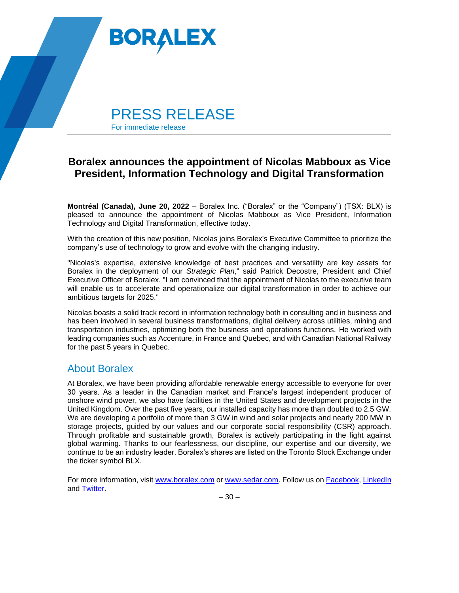

## **Boralex announces the appointment of Nicolas Mabboux as Vice President, Information Technology and Digital Transformation**

**Montréal (Canada), June 20, 2022** – Boralex Inc. ("Boralex" or the "Company") (TSX: BLX) is pleased to announce the appointment of Nicolas Mabboux as Vice President, Information Technology and Digital Transformation, effective today.

With the creation of this new position, Nicolas joins Boralex's Executive Committee to prioritize the company's use of technology to grow and evolve with the changing industry.

"Nicolas's expertise, extensive knowledge of best practices and versatility are key assets for Boralex in the deployment of our *Strategic Plan*," said Patrick Decostre, President and Chief Executive Officer of Boralex. "I am convinced that the appointment of Nicolas to the executive team will enable us to accelerate and operationalize our digital transformation in order to achieve our ambitious targets for 2025."

Nicolas boasts a solid track record in information technology both in consulting and in business and has been involved in several business transformations, digital delivery across utilities, mining and transportation industries, optimizing both the business and operations functions. He worked with leading companies such as Accenture, in France and Quebec, and with Canadian National Railway for the past 5 years in Quebec.

## About Boralex

At Boralex, we have been providing affordable renewable energy accessible to everyone for over 30 years. As a leader in the Canadian market and France's largest independent producer of onshore wind power, we also have facilities in the United States and development projects in the United Kingdom. Over the past five years, our installed capacity has more than doubled to 2.5 GW. We are developing a portfolio of more than 3 GW in wind and solar projects and nearly 200 MW in storage projects, guided by our values and our corporate social responsibility (CSR) approach. Through profitable and sustainable growth, Boralex is actively participating in the fight against global warming. Thanks to our fearlessness, our discipline, our expertise and our diversity, we continue to be an industry leader. Boralex's shares are listed on the Toronto Stock Exchange under the ticker symbol BLX.

For more information, visit [www.boralex.com](http://www.boralex.com/) or [www.sedar.com.](http://www.sedar.com/) Follow us on [Facebook,](https://www.facebook.com/BoralexInc) [LinkedIn](https://www.linkedin.com/company/boralex) and [Twitter.](https://twitter.com/BoralexInc)